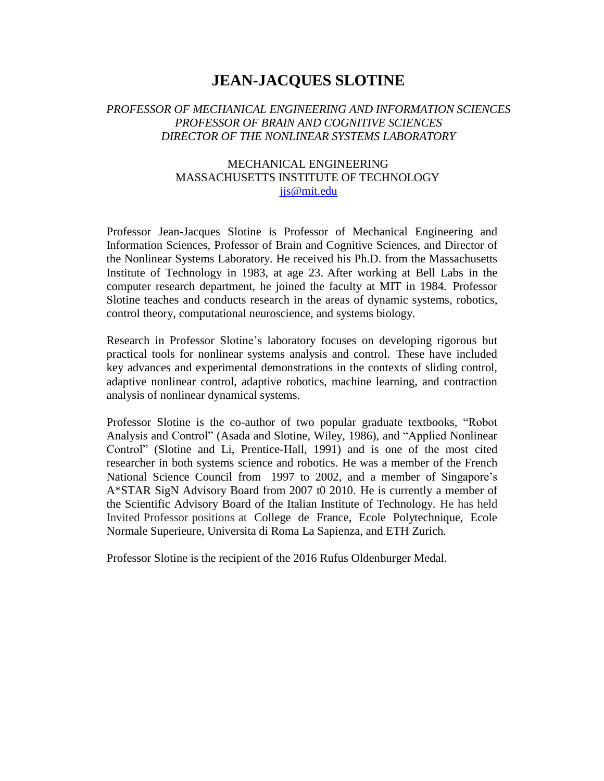# **JEAN-JACQUES SLOTINE**

## *PROFESSOR OF MECHANICAL ENGINEERING AND INFORMATION SCIENCES PROFESSOR OF BRAIN AND COGNITIVE SCIENCES DIRECTOR OF THE NONLINEAR SYSTEMS LABORATORY*

## MECHANICAL ENGINEERING MASSACHUSETTS INSTITUTE OF TECHNOLOGY [jjs@mit.edu](mailto:jjs@mit.edu)

Professor Jean-Jacques Slotine is Professor of Mechanical Engineering and Information Sciences, Professor of Brain and Cognitive Sciences, and Director of the Nonlinear Systems Laboratory. He received his Ph.D. from the Massachusetts Institute of Technology in 1983, at age 23. After working at Bell Labs in the computer research department, he joined the faculty at MIT in 1984. Professor Slotine teaches and conducts research in the areas of dynamic systems, robotics, control theory, computational neuroscience, and systems biology.

Research in Professor Slotine's laboratory focuses on developing rigorous but practical tools for nonlinear systems analysis and control. These have included key advances and experimental demonstrations in the contexts of sliding control, adaptive nonlinear control, adaptive robotics, machine learning, and contraction analysis of nonlinear dynamical systems.

Professor Slotine is the co-author of two popular graduate textbooks, "Robot Analysis and Control" (Asada and Slotine, Wiley, 1986), and "Applied Nonlinear Control" (Slotine and Li, Prentice-Hall, 1991) and is one of the most cited researcher in both systems science and robotics. He was a member of the French National Science Council from 1997 to 2002, and a member of Singapore's A\*STAR SigN Advisory Board from 2007 t0 2010. He is currently a member of the Scientific Advisory Board of the Italian Institute of Technology. He has held Invited Professor positions at College de France, Ecole Polytechnique, Ecole Normale Superieure, Universita di Roma La Sapienza, and ETH Zurich.

Professor Slotine is the recipient of the 2016 Rufus Oldenburger Medal.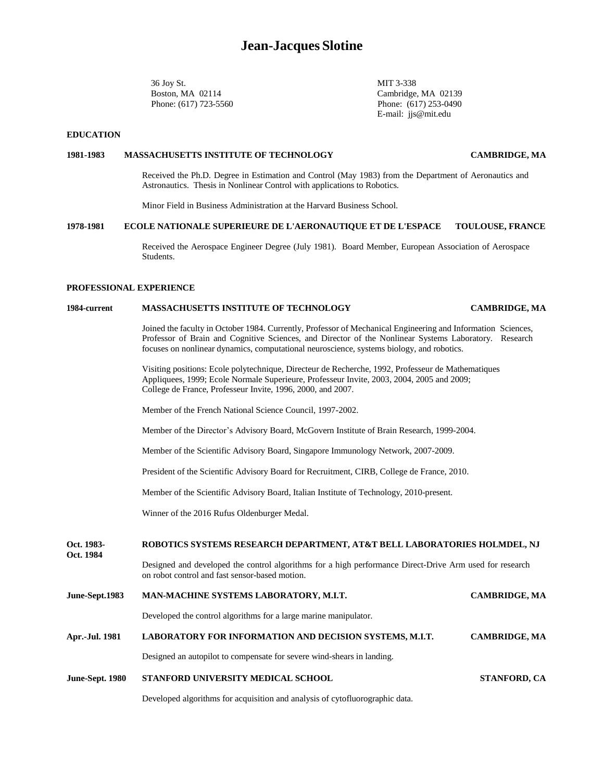36 Joy St. MIT 3-338

Boston, MA 02114 Cambridge, MA 02139 Phone: (617) 723-5560 Phone: (617) 253-0490 E-mail: [jjs@mit.edu](mailto:jjs@mit.edu)

#### **EDUCATION**

**Oct. 1984**

#### **1981-1983 MASSACHUSETTS INSTITUTE OF TECHNOLOGY CAMBRIDGE, MA**

Received the Ph.D. Degree in Estimation and Control (May 1983) from the Department of Aeronautics and Astronautics. Thesis in Nonlinear Control with applications to Robotics.

Minor Field in Business Administration at the Harvard Business School.

#### **1978-1981 ECOLE NATIONALE SUPERIEURE DE L'AERONAUTIQUE ET DE L'ESPACE TOULOUSE, FRANCE**

Received the Aerospace Engineer Degree (July 1981). Board Member, European Association of Aerospace Students.

#### **PROFESSIONAL EXPERIENCE**

### **1984-current MASSACHUSETTS INSTITUTE OF TECHNOLOGY CAMBRIDGE, MA**

Joined the faculty in October 1984. Currently, Professor of Mechanical Engineering and Information Sciences, Professor of Brain and Cognitive Sciences, and Director of the Nonlinear Systems Laboratory. Research focuses on nonlinear dynamics, computational neuroscience, systems biology, and robotics.

Visiting positions: Ecole polytechnique, Directeur de Recherche, 1992, Professeur de Mathematiques Appliquees, 1999; Ecole Normale Superieure, Professeur Invite, 2003, 2004, 2005 and 2009; College de France, Professeur Invite, 1996, 2000, and 2007.

Member of the French National Science Council, 1997-2002.

Member of the Director's Advisory Board, McGovern Institute of Brain Research, 1999-2004.

Member of the Scientific Advisory Board, Singapore Immunology Network, 2007-2009.

President of the Scientific Advisory Board for Recruitment, CIRB, College de France, 2010.

Member of the Scientific Advisory Board, Italian Institute of Technology, 2010-present.

Winner of the 2016 Rufus Oldenburger Medal.

#### **Oct. 1983- ROBOTICS SYSTEMS RESEARCH DEPARTMENT, AT&T BELL LABORATORIES HOLMDEL, NJ**

Designed and developed the control algorithms for a high performance Direct-Drive Arm used for research on robot control and fast sensor-based motion.

| June Sept.1705 | MARTINA CHIRE STSTEMS EADORATORT, M.I.T.                               | CARDRIDGE, MA        |
|----------------|------------------------------------------------------------------------|----------------------|
|                | Developed the control algorithms for a large marine manipulator.       |                      |
| Apr.-Jul. 1981 | LABORATORY FOR INFORMATION AND DECISION SYSTEMS, M.I.T.                | <b>CAMBRIDGE, MA</b> |
|                | Designed an autopilot to compensate for severe wind-shears in landing. |                      |
|                |                                                                        |                      |

**June-Sept.1983 MAN-MACHINE SYSTEMS LABORATORY, M.I.T. CAMBRIDGE, MA**

**June-Sept. 1980 STANFORD UNIVERSITY MEDICAL SCHOOL STANFORD, CA**

Developed algorithms for acquisition and analysis of cytofluorographic data.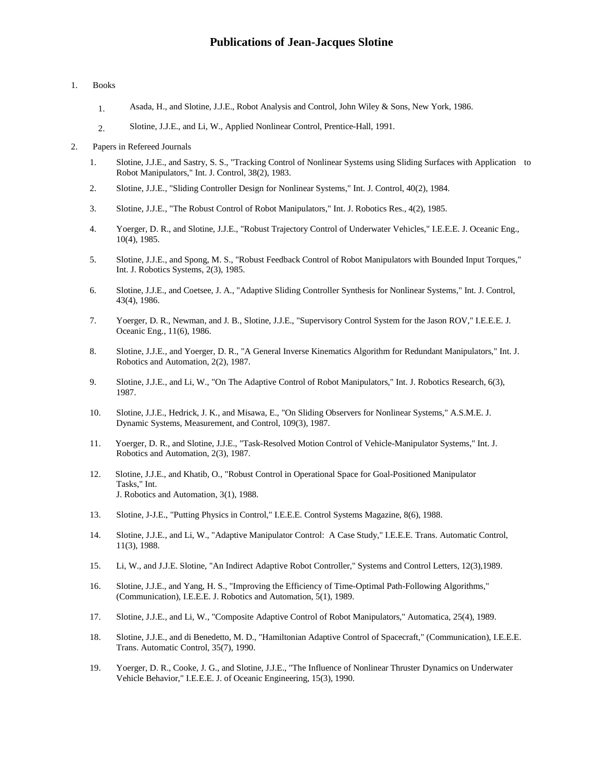#### 1. Books

- 1. Asada, H., and Slotine, J.J.E., Robot Analysis and Control, John Wiley & Sons, New York, 1986.
- 2. Slotine, J.J.E., and Li, W., Applied Nonlinear Control, Prentice-Hall, 1991.
- 2. Papers in Refereed Journals
	- 1. Slotine, J.J.E., and Sastry, S. S., "Tracking Control of Nonlinear Systems using Sliding Surfaces with Application to Robot Manipulators," Int. J. Control, 38(2), 1983.
	- 2. Slotine, J.J.E., "Sliding Controller Design for Nonlinear Systems," Int. J. Control, 40(2), 1984.
	- 3. Slotine, J.J.E., "The Robust Control of Robot Manipulators," Int. J. Robotics Res., 4(2), 1985.
	- 4. Yoerger, D. R., and Slotine, J.J.E., "Robust Trajectory Control of Underwater Vehicles," I.E.E.E. J. Oceanic Eng., 10(4), 1985.
	- 5. Slotine, J.J.E., and Spong, M. S., "Robust Feedback Control of Robot Manipulators with Bounded Input Torques," Int. J. Robotics Systems, 2(3), 1985.
	- 6. Slotine, J.J.E., and Coetsee, J. A., "Adaptive Sliding Controller Synthesis for Nonlinear Systems," Int. J. Control, 43(4), 1986.
	- 7. Yoerger, D. R., Newman, and J. B., Slotine, J.J.E., "Supervisory Control System for the Jason ROV," I.E.E.E. J. Oceanic Eng., 11(6), 1986.
	- 8. Slotine, J.J.E., and Yoerger, D. R., "A General Inverse Kinematics Algorithm for Redundant Manipulators," Int. J. Robotics and Automation, 2(2), 1987.
	- 9. Slotine, J.J.E., and Li, W., "On The Adaptive Control of Robot Manipulators," Int. J. Robotics Research, 6(3), 1987.
	- 10. Slotine, J.J.E., Hedrick, J. K., and Misawa, E., "On Sliding Observers for Nonlinear Systems," A.S.M.E. J. Dynamic Systems, Measurement, and Control, 109(3), 1987.
	- 11. Yoerger, D. R., and Slotine, J.J.E., "Task-Resolved Motion Control of Vehicle-Manipulator Systems," Int. J. Robotics and Automation, 2(3), 1987.
	- 12. Slotine, J.J.E., and Khatib, O., "Robust Control in Operational Space for Goal-Positioned Manipulator Tasks," Int. J. Robotics and Automation, 3(1), 1988.
	- 13. Slotine, J-J.E., "Putting Physics in Control," I.E.E.E. Control Systems Magazine, 8(6), 1988.
	- 14. Slotine, J.J.E., and Li, W., "Adaptive Manipulator Control: A Case Study," I.E.E.E. Trans. Automatic Control, 11(3), 1988.
	- 15. Li, W., and J.J.E. Slotine, "An Indirect Adaptive Robot Controller," Systems and Control Letters, 12(3),1989.
	- 16. Slotine, J.J.E., and Yang, H. S., "Improving the Efficiency of Time-Optimal Path-Following Algorithms," (Communication), I.E.E.E. J. Robotics and Automation, 5(1), 1989.
	- 17. Slotine, J.J.E., and Li, W., "Composite Adaptive Control of Robot Manipulators," Automatica, 25(4), 1989.
	- 18. Slotine, J.J.E., and di Benedetto, M. D., "Hamiltonian Adaptive Control of Spacecraft," (Communication), I.E.E.E. Trans. Automatic Control, 35(7), 1990.
	- 19. Yoerger, D. R., Cooke, J. G., and Slotine, J.J.E., "The Influence of Nonlinear Thruster Dynamics on Underwater Vehicle Behavior," I.E.E.E. J. of Oceanic Engineering, 15(3), 1990.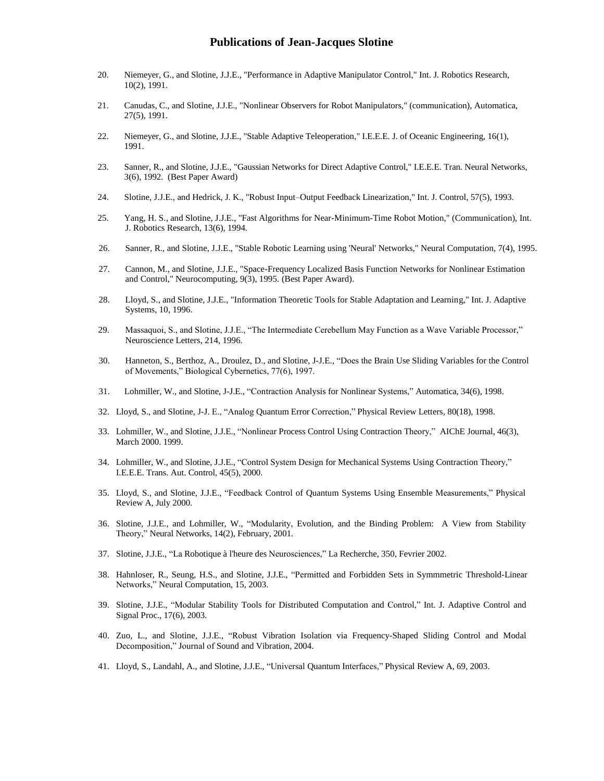- 20. Niemeyer, G., and Slotine, J.J.E., "Performance in Adaptive Manipulator Control," Int. J. Robotics Research, 10(2), 1991.
- 21. Canudas, C., and Slotine, J.J.E., "Nonlinear Observers for Robot Manipulators," (communication), Automatica, 27(5), 1991.
- 22. Niemeyer, G., and Slotine, J.J.E., "Stable Adaptive Teleoperation," I.E.E.E. J. of Oceanic Engineering, 16(1), 1991.
- 23. Sanner, R., and Slotine, J.J.E., "Gaussian Networks for Direct Adaptive Control," I.E.E.E. Tran. Neural Networks, 3(6), 1992. (Best Paper Award)
- 24. Slotine, J.J.E., and Hedrick, J. K., "Robust Input–Output Feedback Linearization," Int. J. Control, 57(5), 1993.
- 25. Yang, H. S., and Slotine, J.J.E., "Fast Algorithms for Near-Minimum-Time Robot Motion," (Communication), Int. J. Robotics Research, 13(6), 1994.
- 26. Sanner, R., and Slotine, J.J.E., "Stable Robotic Learning using 'Neural' Networks," Neural Computation, 7(4), 1995.
- 27. Cannon, M., and Slotine, J.J.E., "Space-Frequency Localized Basis Function Networks for Nonlinear Estimation and Control," Neurocomputing, 9(3), 1995. (Best Paper Award).
- 28. Lloyd, S., and Slotine, J.J.E., "Information Theoretic Tools for Stable Adaptation and Learning," Int. J. Adaptive Systems, 10, 1996.
- 29. Massaquoi, S., and Slotine, J.J.E., "The Intermediate Cerebellum May Function as a Wave Variable Processor," Neuroscience Letters, 214, 1996.
- 30. Hanneton, S., Berthoz, A., Droulez, D., and Slotine, J-J.E., "Does the Brain Use Sliding Variables for the Control of Movements," Biological Cybernetics, 77(6), 1997.
- 31. Lohmiller, W., and Slotine, J-J.E., "Contraction Analysis for Nonlinear Systems," Automatica, 34(6), 1998.
- 32. Lloyd, S., and Slotine, J-J. E., "Analog Quantum Error Correction," Physical Review Letters, 80(18), 1998.
- 33. Lohmiller, W., and Slotine, J.J.E., "Nonlinear Process Control Using Contraction Theory," AIChE Journal, 46(3), March 2000. 1999.
- 34. Lohmiller, W., and Slotine, J.J.E., "Control System Design for Mechanical Systems Using Contraction Theory," I.E.E.E. Trans. Aut. Control, 45(5), 2000.
- 35. Lloyd, S., and Slotine, J.J.E., "Feedback Control of Quantum Systems Using Ensemble Measurements," Physical Review A, July 2000.
- 36. Slotine, J.J.E., and Lohmiller, W., "Modularity, Evolution, and the Binding Problem: A View from Stability Theory," Neural Networks, 14(2), February, 2001.
- 37. Slotine, J.J.E., "La Robotique à l'heure des Neurosciences," La Recherche, 350, Fevrier 2002.
- 38. Hahnloser, R., Seung, H.S., and Slotine, J.J.E., "Permitted and Forbidden Sets in Symmmetric Threshold-Linear Networks," Neural Computation, 15, 2003.
- 39. Slotine, J.J.E., "Modular Stability Tools for Distributed Computation and Control," Int. J. Adaptive Control and Signal Proc., 17(6), 2003.
- 40. Zuo, L., and Slotine, J.J.E., "Robust Vibration Isolation via Frequency-Shaped Sliding Control and Modal Decomposition," Journal of Sound and Vibration, 2004.
- 41. Lloyd, S., Landahl, A., and Slotine, J.J.E., "Universal Quantum Interfaces," Physical Review A, 69, 2003.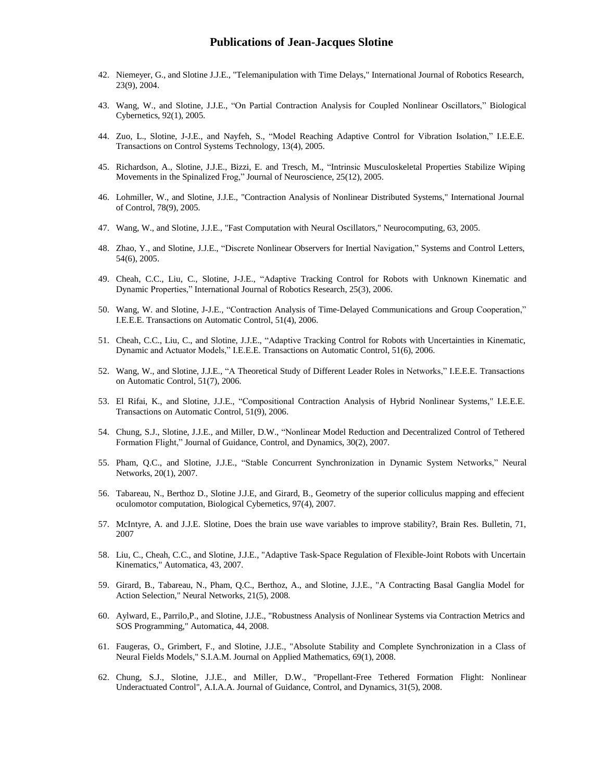- 42. Niemeyer, G., and Slotine J.J.E., "Telemanipulation with Time Delays," International Journal of Robotics Research, 23(9), 2004.
- 43. Wang, W., and Slotine, J.J.E., "On Partial Contraction Analysis for Coupled Nonlinear Oscillators," Biological Cybernetics, 92(1), 2005.
- 44. Zuo, L., Slotine, J-J.E., and Nayfeh, S., "Model Reaching Adaptive Control for Vibration Isolation," I.E.E.E. Transactions on Control Systems Technology, 13(4), 2005.
- 45. Richardson, A., Slotine, J.J.E., Bizzi, E. and Tresch, M., "Intrinsic Musculoskeletal Properties Stabilize Wiping Movements in the Spinalized Frog," Journal of Neuroscience, 25(12), 2005.
- 46. Lohmiller, W., and Slotine, J.J.E., "Contraction Analysis of Nonlinear Distributed Systems," International Journal of Control, 78(9), 2005.
- 47. Wang, W., and Slotine, J.J.E., "Fast Computation with Neural Oscillators," Neurocomputing, 63, 2005.
- 48. Zhao, Y., and Slotine, J.J.E., "Discrete Nonlinear Observers for Inertial Navigation," Systems and Control Letters, 54(6), 2005.
- 49. Cheah, C.C., Liu, C., Slotine, J-J.E., "Adaptive Tracking Control for Robots with Unknown Kinematic and Dynamic Properties," International Journal of Robotics Research, 25(3), 2006.
- 50. Wang, W. and Slotine, J-J.E., "Contraction Analysis of Time-Delayed Communications and Group Cooperation," I.E.E.E. Transactions on Automatic Control, 51(4), 2006.
- 51. Cheah, C.C., Liu, C., and Slotine, J.J.E., "Adaptive Tracking Control for Robots with Uncertainties in Kinematic, Dynamic and Actuator Models," I.E.E.E. Transactions on Automatic Control, 51(6), 2006.
- 52. Wang, W., and Slotine, J.J.E., "A Theoretical Study of Different Leader Roles in Networks," I.E.E.E. Transactions on Automatic Control, 51(7), 2006.
- 53. El Rifai, K., and Slotine, J.J.E., "Compositional Contraction Analysis of Hybrid Nonlinear Systems," I.E.E.E. Transactions on Automatic Control, 51(9), 2006.
- 54. Chung, S.J., Slotine, J.J.E., and Miller, D.W., "Nonlinear Model Reduction and Decentralized Control of Tethered Formation Flight," Journal of Guidance, Control, and Dynamics, 30(2), 2007.
- 55. Pham, Q.C., and Slotine, J.J.E., "Stable Concurrent Synchronization in Dynamic System Networks," Neural Networks, 20(1), 2007.
- 56. Tabareau, N., Berthoz D., Slotine J.J.E, and Girard, B., Geometry of the superior colliculus mapping and effecient oculomotor computation, Biological Cybernetics, 97(4), 2007.
- 57. McIntyre, A. and J.J.E. Slotine, Does the brain use wave variables to improve stability?, Brain Res. Bulletin, 71, 2007
- 58. Liu, C., Cheah, C.C., and Slotine, J.J.E., "Adaptive Task-Space Regulation of Flexible-Joint Robots with Uncertain Kinematics," Automatica, 43, 2007.
- 59. Girard, B., Tabareau, N., Pham, Q.C., Berthoz, A., and Slotine, J.J.E., "A Contracting Basal Ganglia Model for Action Selection," Neural Networks, 21(5), 2008.
- 60. Aylward, E., Parrilo,P., and Slotine, J.J.E., "Robustness Analysis of Nonlinear Systems via Contraction Metrics and SOS Programming," Automatica, 44, 2008.
- 61. Faugeras, O., Grimbert, F., and Slotine, J.J.E., "Absolute Stability and Complete Synchronization in a Class of Neural Fields Models," S.I.A.M. Journal on Applied Mathematics, 69(1), 2008.
- 62. Chung, S.J., Slotine, J.J.E., and Miller, D.W., "Propellant-Free Tethered Formation Flight: Nonlinear Underactuated Control", A.I.A.A. Journal of Guidance, Control, and Dynamics, 31(5), 2008.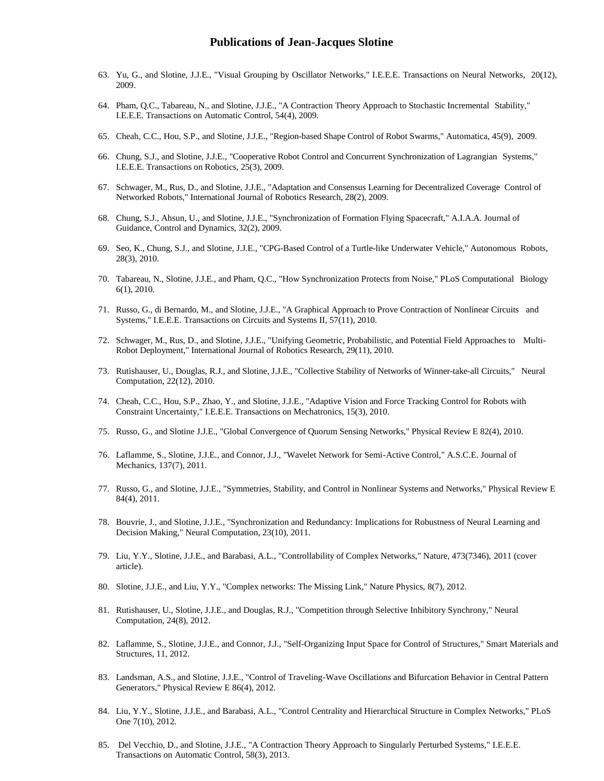- 63. Yu, G., and Slotine, J.J.E., "Visual Grouping by Oscillator Networks," I.E.E.E. Transactions on Neural Networks, 20(12), 2009.
- 64. Pham, Q.C., Tabareau, N., and Slotine, J.J.E., "A Contraction Theory Approach to Stochastic Incremental Stability," I.E.E.E. Transactions on Automatic Control, 54(4), 2009.
- 65. Cheah, C.C., Hou, S.P., and Slotine, J.J.E., "Region-based Shape Control of Robot Swarms," Automatica, 45(9), 2009.
- 66. Chung, S.J., and Slotine, J.J.E., "Cooperative Robot Control and Concurrent Synchronization of Lagrangian Systems," I.E.E.E. Transactions on Robotics, 25(3), 2009.
- 67. Schwager, M., Rus, D., and Slotine, J.J.E., "Adaptation and Consensus Learning for Decentralized Coverage Control of Networked Robots," International Journal of Robotics Research, 28(2), 2009.
- 68. Chung, S.J., Ahsun, U., and Slotine, J.J.E., "Synchronization of Formation Flying Spacecraft," A.I.A.A. Journal of Guidance, Control and Dynamics, 32(2), 2009.
- 69. Seo, K., Chung, S.J., and Slotine, J.J.E., "CPG-Based Control of a Turtle-like Underwater Vehicle," Autonomous Robots, 28(3), 2010.
- 70. Tabareau, N., Slotine, J.J.E., and Pham, Q.C., "How Synchronization Protects from Noise," PLoS Computational Biology 6(1), 2010.
- 71. Russo, G., di Bernardo, M., and Slotine, J.J.E., "A Graphical Approach to Prove Contraction of Nonlinear Circuits and Systems," I.E.E.E. Transactions on Circuits and Systems II, 57(11), 2010.
- 72. Schwager, M., Rus, D., and Slotine, J.J.E., "Unifying Geometric, Probabilistic, and Potential Field Approaches to Multi-Robot Deployment," International Journal of Robotics Research, 29(11), 2010.
- 73. Rutishauser, U., Douglas, R.J., and Slotine, J.J.E., "Collective Stability of Networks of Winner-take-all Circuits," Neural Computation, 22(12), 2010.
- 74. Cheah, C.C., Hou, S.P., Zhao, Y., and Slotine, J.J.E., "Adaptive Vision and Force Tracking Control for Robots with Constraint Uncertainty," I.E.E.E. Transactions on Mechatronics, 15(3), 2010.
- 75. Russo, G., and Slotine J.J.E., "Global Convergence of Quorum Sensing Networks," Physical Review E 82(4), 2010.
- 76. Laflamme, S., Slotine, J.J.E., and Connor, J.J., "Wavelet Network for Semi-Active Control," A.S.C.E. Journal of Mechanics, 137(7), 2011.
- 77. Russo, G., and Slotine, J.J.E., "Symmetries, Stability, and Control in Nonlinear Systems and Networks," Physical Review E 84(4), 2011.
- 78. Bouvrie, J., and Slotine, J.J.E., "Synchronization and Redundancy: Implications for Robustness of Neural Learning and Decision Making," Neural Computation, 23(10), 2011.
- 79. Liu, Y.Y., Slotine, J.J.E., and Barabasi, A.L., "Controllability of Complex Networks," Nature, 473(7346), 2011 (cover article).
- 80. Slotine, J.J.E., and Liu, Y.Y., "Complex networks: The Missing Link," Nature Physics, 8(7), 2012.
- 81. Rutishauser, U., Slotine, J.J.E., and Douglas, R.J., "Competition through Selective Inhibitory Synchrony," Neural Computation, 24(8), 2012.
- 82. Laflamme, S., Slotine, J.J.E., and Connor, J.J., "Self-Organizing Input Space for Control of Structures," Smart Materials and Structures, 11, 2012.
- 83. Landsman, A.S., and Slotine, J.J.E., "Control of Traveling-Wave Oscillations and Bifurcation Behavior in Central Pattern Generators," Physical Review E 86(4), 2012.
- 84. Liu, Y.Y., Slotine, J.J.E., and Barabasi, A.L., "Control Centrality and Hierarchical Structure in Complex Networks," PLoS One 7(10), 2012.
- 85. Del Vecchio, D., and Slotine, J.J.E., ["A Contraction Theory Approach to Singularly Perturbed Systems,"](http://mit.edu/nsl/www/preprints/ddv_jjs_TAC.pdf) I.E.E.E. Transactions on Automatic Control, 58(3), 2013.